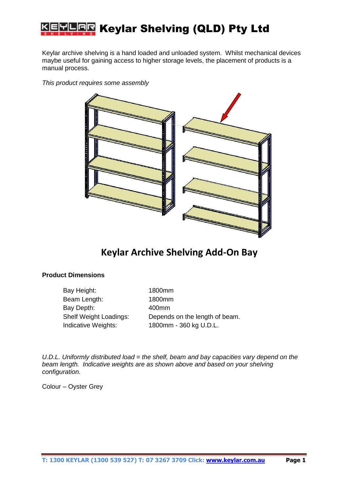

Keylar archive shelving is a hand loaded and unloaded system. Whilst mechanical devices maybe useful for gaining access to higher storage levels, the placement of products is a manual process.





## **Keylar Archive Shelving Add-On Bay**

## **Product Dimensions**

Bay Height: 1800mm Beam Length: 1800mm Bay Depth: 400mm

Shelf Weight Loadings: Depends on the length of beam. Indicative Weights: 1800mm - 360 kg U.D.L.

*U.D.L. Uniformly distributed load = the shelf, beam and bay capacities vary depend on the beam length. Indicative weights are as shown above and based on your shelving configuration.* 

Colour – Oyster Grey